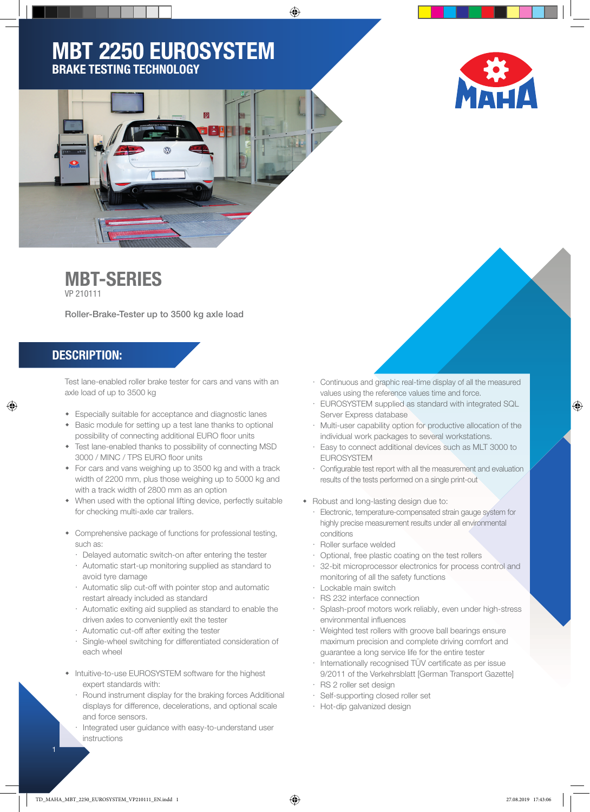◈

## MBT 2250 EUROSYSTEM BRAKE TESTING TECHNOLOGY



# MBT-SERIES

VP 210111

Roller-Brake-Tester up to 3500 kg axle load

#### DESCRIPTION:

⊕

Test lane-enabled roller brake tester for cars and vans with an axle load of up to 3500 kg

- Especially suitable for acceptance and diagnostic lanes
- Basic module for setting up a test lane thanks to optional possibility of connecting additional EURO floor units
- Test lane-enabled thanks to possibility of connecting MSD 3000 / MINC / TPS EURO floor units
- For cars and vans weighing up to 3500 kg and with a track width of 2200 mm, plus those weighing up to 5000 kg and with a track width of 2800 mm as an option
- When used with the optional lifting device, perfectly suitable for checking multi-axle car trailers.
- Comprehensive package of functions for professional testing, such as:
	- Delayed automatic switch-on after entering the tester
	- Automatic start-up monitoring supplied as standard to avoid tyre damage
	- $\cdot$  Automatic slip cut-off with pointer stop and automatic restart already included as standard
	- Automatic exiting aid supplied as standard to enable the driven axles to conveniently exit the tester
	- $\cdot$  Automatic cut-off after exiting the tester
	- $\cdot$  Single-wheel switching for differentiated consideration of each wheel
- Intuitive-to-use EUROSYSTEM software for the highest expert standards with:
	- Round instrument display for the braking forces Additional displays for difference, decelerations, and optional scale and force sensors.
	- Integrated user guidance with easy-to-understand user instructions
- Continuous and graphic real-time display of all the measured values using the reference values time and force.
- EUROSYSTEM supplied as standard with integrated SQL Server Express database
- Multi-user capability option for productive allocation of the individual work packages to several workstations.
- Easy to connect additional devices such as MLT 3000 to EUROSYSTEM
- $\cdot$  Configurable test report with all the measurement and evaluation results of the tests performed on a single print-out
- Robust and long-lasting design due to:
	- Electronic, temperature-compensated strain gauge system for highly precise measurement results under all environmental conditions
	- Roller surface welded
	- Optional, free plastic coating on the test rollers
	- 32-bit microprocessor electronics for process control and monitoring of all the safety functions
	- Lockable main switch
	- RS 232 interface connection
	- Splash-proof motors work reliably, even under high-stress environmental influences
	- Weighted test rollers with groove ball bearings ensure maximum precision and complete driving comfort and guarantee a long service life for the entire tester
	- $\cdot$  Internationally recognised TÜV certificate as per issue 9/2011 of the Verkehrsblatt [German Transport Gazette]
	- RS 2 roller set design
	- Self-supporting closed roller set
	- Hot-dip galvanized design

 $\bigoplus$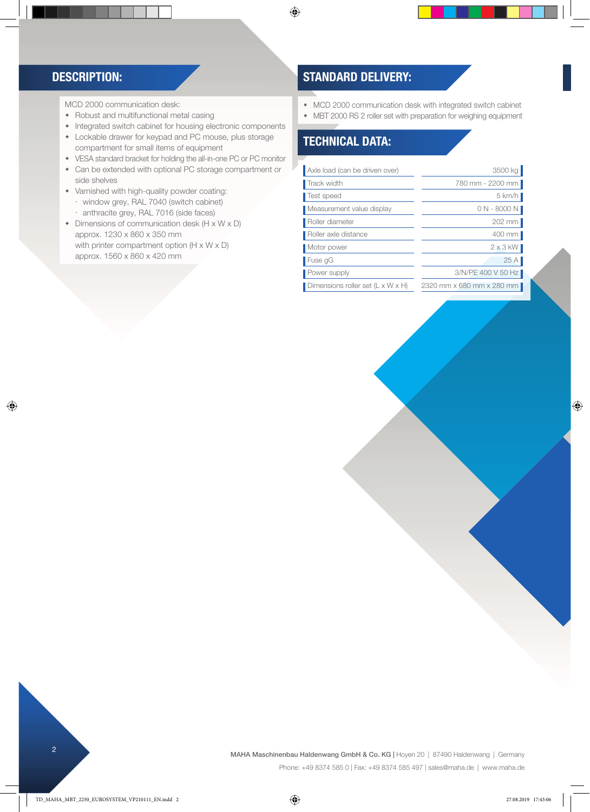#### DESCRIPTION:

◈

MCD 2000 communication desk:

- Robust and multifunctional metal casing
- Integrated switch cabinet for housing electronic components
- Lockable drawer for keypad and PC mouse, plus storage compartment for small items of equipment
- VESA standard bracket for holding the all-in-one PC or PC monitor
- Can be extended with optional PC storage compartment or side shelves
- Varnished with high-quality powder coating: window grey, RAL 7040 (switch cabinet)
	- anthracite grey, RAL 7016 (side faces)
- Dimensions of communication desk (H x W x D) approx. 1230 x 860 x 350 mm with printer compartment option (H x W x D) approx. 1560 x 860 x 420 mm

### STANDARD DELIVERY:

 $\bigoplus$ 

- MCD 2000 communication desk with integrated switch cabinet
- MBT 2000 RS 2 roller set with preparation for weighing equipment

### TECHNICAL DATA:

| Axle load (can be driven over)                | 3500 kg                   |
|-----------------------------------------------|---------------------------|
| Track width                                   | 780 mm - 2200 mm          |
| Test speed                                    | 5 km/h                    |
| Measurement value display                     | $0 N - 8000 N$            |
| Roller diameter                               | $202$ mm                  |
| Roller axle distance                          | 400 mm                    |
| Motor power                                   | $2 \times 3$ kW           |
| Fuse gG                                       | 25A                       |
| Power supply                                  | 3/N/PE 400 V 50 Hz        |
| Dimensions roller set $(L \times W \times H)$ | 2320 mm x 680 mm x 280 mm |

 $\bigoplus$ 

<sup>2</sup> MAHA Maschinenbau Haldenwang GmbH & Co. KG | Hoyen 20 | 87490 Haldenwang | Germany Phone: +49 8374 585 0 | Fax: +49 8374 585 497 | sales@maha.de | www.maha.de